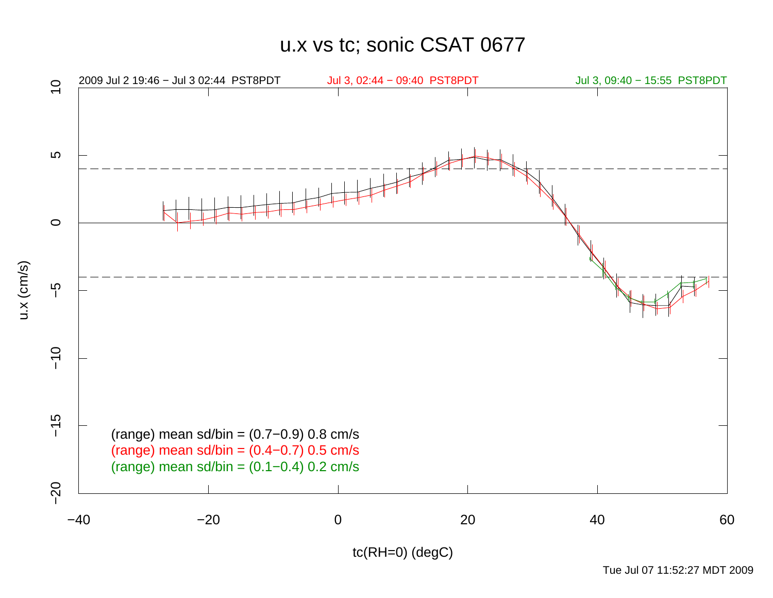u.x vs tc; sonic CSAT 0677



Tue Jul 07 11:52:27 MDT 2009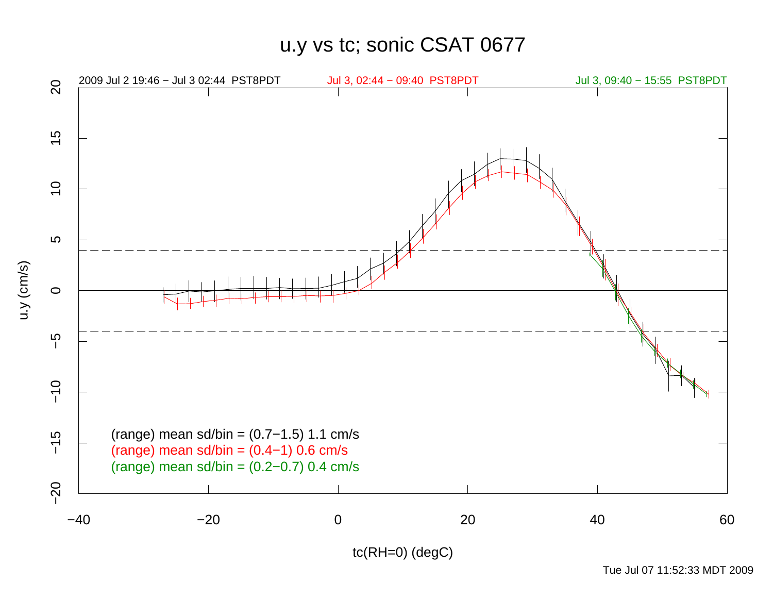u.y vs tc; sonic CSAT 0677



Tue Jul 07 11:52:33 MDT 2009